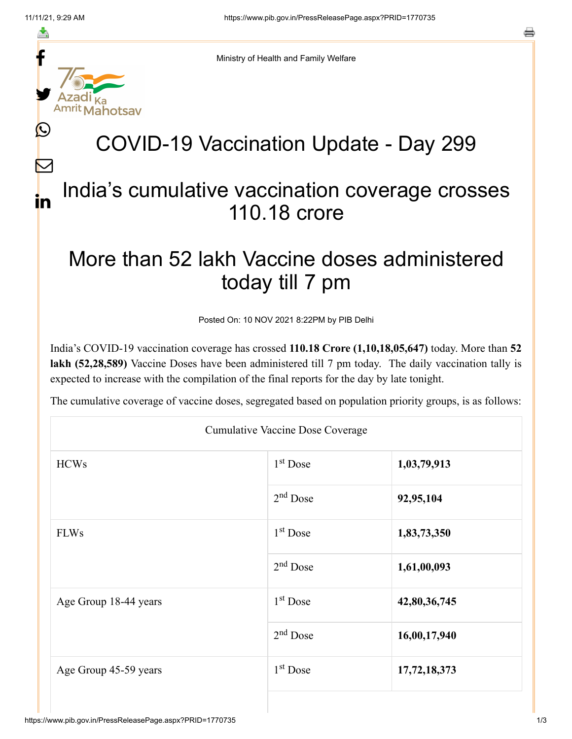≛

 $\bm{\nabla}$ 

in



Ministry of Health and Family Welfare

## COVID-19 Vaccination Update - Day 299

## India's cumulative vaccination coverage crosses 110.18 crore

## More than 52 lakh Vaccine doses administered today till 7 pm

Posted On: 10 NOV 2021 8:22PM by PIB Delhi

India's COVID-19 vaccination coverage has crossed **110.18 Crore (1,10,18,05,647)** today. More than **52 lakh (52,28,589)** Vaccine Doses have been administered till 7 pm today. The daily vaccination tally is expected to increase with the compilation of the final reports for the day by late tonight.

The cumulative coverage of vaccine doses, segregated based on population priority groups, is as follows:

| <b>Cumulative Vaccine Dose Coverage</b> |            |              |  |  |
|-----------------------------------------|------------|--------------|--|--|
| <b>HCWs</b>                             | $1st$ Dose | 1,03,79,913  |  |  |
|                                         | $2nd$ Dose | 92,95,104    |  |  |
| <b>FLWs</b>                             | $1st$ Dose | 1,83,73,350  |  |  |
|                                         | $2nd$ Dose | 1,61,00,093  |  |  |
| Age Group 18-44 years                   | $1st$ Dose | 42,80,36,745 |  |  |
|                                         | $2nd$ Dose | 16,00,17,940 |  |  |
| Age Group 45-59 years                   | $1st$ Dose | 17,72,18,373 |  |  |
|                                         |            |              |  |  |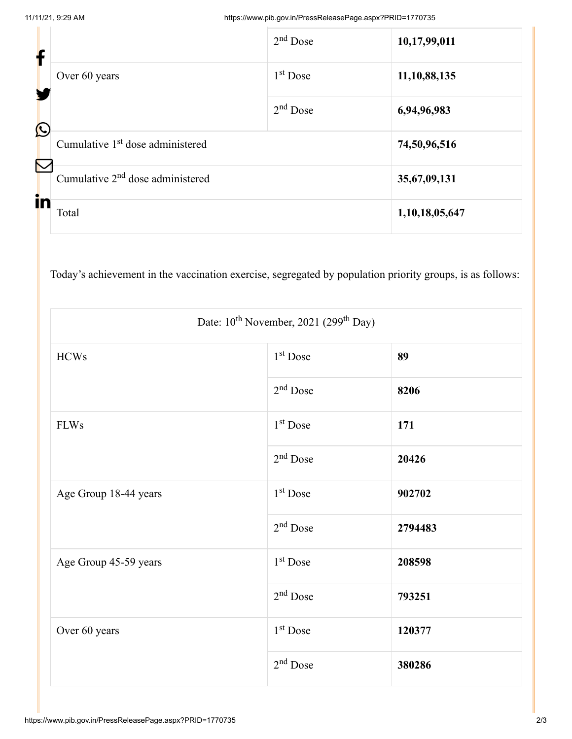| f                     |                                              | $2nd$ Dose   | 10,17,99,011   |
|-----------------------|----------------------------------------------|--------------|----------------|
|                       | Over 60 years                                | $1st$ Dose   | 11,10,88,135   |
| $\bigcirc$            |                                              | $2nd$ Dose   | 6,94,96,983    |
| $\boldsymbol{\nabla}$ | Cumulative 1 <sup>st</sup> dose administered |              | 74,50,96,516   |
|                       | Cumulative $2nd$ dose administered           | 35,67,09,131 |                |
| in                    | Total                                        |              | 1,10,18,05,647 |

Today's achievement in the vaccination exercise, segregated by population priority groups, is as follows:

| Date: 10 <sup>th</sup> November, 2021 (299 <sup>th</sup> Day) |                      |         |  |  |
|---------------------------------------------------------------|----------------------|---------|--|--|
| <b>HCWs</b>                                                   | $1st$ Dose           | 89      |  |  |
|                                                               | $2nd$ Dose           | 8206    |  |  |
| <b>FLWs</b>                                                   | 1 <sup>st</sup> Dose | 171     |  |  |
|                                                               | $2nd$ Dose           | 20426   |  |  |
| Age Group 18-44 years                                         | 1 <sup>st</sup> Dose | 902702  |  |  |
|                                                               | 2 <sup>nd</sup> Dose | 2794483 |  |  |
| Age Group 45-59 years                                         | $1st$ Dose           | 208598  |  |  |
|                                                               | $2nd$ Dose           | 793251  |  |  |
| Over 60 years                                                 | $1st$ Dose           | 120377  |  |  |
|                                                               | $2nd$ Dose           | 380286  |  |  |